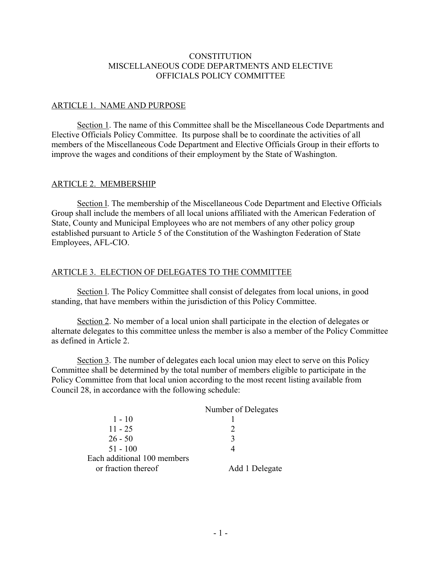### **CONSTITUTION** MISCELLANEOUS CODE DEPARTMENTS AND ELECTIVE OFFICIALS POLICY COMMITTEE

### ARTICLE 1. NAME AND PURPOSE

Section 1. The name of this Committee shall be the Miscellaneous Code Departments and Elective Officials Policy Committee. Its purpose shall be to coordinate the activities of all members of the Miscellaneous Code Department and Elective Officials Group in their efforts to improve the wages and conditions of their employment by the State of Washington.

#### ARTICLE 2. MEMBERSHIP

Section l. The membership of the Miscellaneous Code Department and Elective Officials Group shall include the members of all local unions affiliated with the American Federation of State, County and Municipal Employees who are not members of any other policy group established pursuant to Article 5 of the Constitution of the Washington Federation of State Employees, AFL-CIO.

# ARTICLE 3. ELECTION OF DELEGATES TO THE COMMITTEE

Section l. The Policy Committee shall consist of delegates from local unions, in good standing, that have members within the jurisdiction of this Policy Committee.

Section 2. No member of a local union shall participate in the election of delegates or alternate delegates to this committee unless the member is also a member of the Policy Committee as defined in Article 2.

Section 3. The number of delegates each local union may elect to serve on this Policy Committee shall be determined by the total number of members eligible to participate in the Policy Committee from that local union according to the most recent listing available from Council 28, in accordance with the following schedule:

|                             | Number of Delegates |
|-----------------------------|---------------------|
| $1 - 10$                    |                     |
| $11 - 25$                   |                     |
| $26 - 50$                   | 3                   |
| $51 - 100$                  |                     |
| Each additional 100 members |                     |
| or fraction thereof         | Add 1 Delegate      |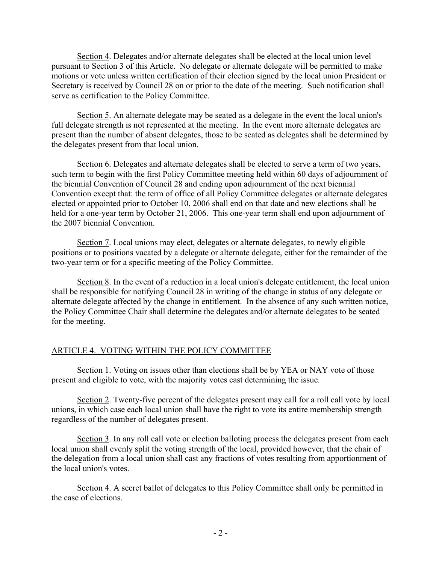Section 4. Delegates and/or alternate delegates shall be elected at the local union level pursuant to Section 3 of this Article. No delegate or alternate delegate will be permitted to make motions or vote unless written certification of their election signed by the local union President or Secretary is received by Council 28 on or prior to the date of the meeting. Such notification shall serve as certification to the Policy Committee.

Section 5. An alternate delegate may be seated as a delegate in the event the local union's full delegate strength is not represented at the meeting. In the event more alternate delegates are present than the number of absent delegates, those to be seated as delegates shall be determined by the delegates present from that local union.

Section 6. Delegates and alternate delegates shall be elected to serve a term of two years, such term to begin with the first Policy Committee meeting held within 60 days of adjournment of the biennial Convention of Council 28 and ending upon adjournment of the next biennial Convention except that: the term of office of all Policy Committee delegates or alternate delegates elected or appointed prior to October 10, 2006 shall end on that date and new elections shall be held for a one-year term by October 21, 2006. This one-year term shall end upon adjournment of the 2007 biennial Convention.

Section 7. Local unions may elect, delegates or alternate delegates, to newly eligible positions or to positions vacated by a delegate or alternate delegate, either for the remainder of the two-year term or for a specific meeting of the Policy Committee.

Section 8. In the event of a reduction in a local union's delegate entitlement, the local union shall be responsible for notifying Council 28 in writing of the change in status of any delegate or alternate delegate affected by the change in entitlement. In the absence of any such written notice, the Policy Committee Chair shall determine the delegates and/or alternate delegates to be seated for the meeting.

## ARTICLE 4. VOTING WITHIN THE POLICY COMMITTEE

Section 1. Voting on issues other than elections shall be by YEA or NAY vote of those present and eligible to vote, with the majority votes cast determining the issue.

Section 2. Twenty-five percent of the delegates present may call for a roll call vote by local unions, in which case each local union shall have the right to vote its entire membership strength regardless of the number of delegates present.

Section 3. In any roll call vote or election balloting process the delegates present from each local union shall evenly split the voting strength of the local, provided however, that the chair of the delegation from a local union shall cast any fractions of votes resulting from apportionment of the local union's votes.

Section 4. A secret ballot of delegates to this Policy Committee shall only be permitted in the case of elections.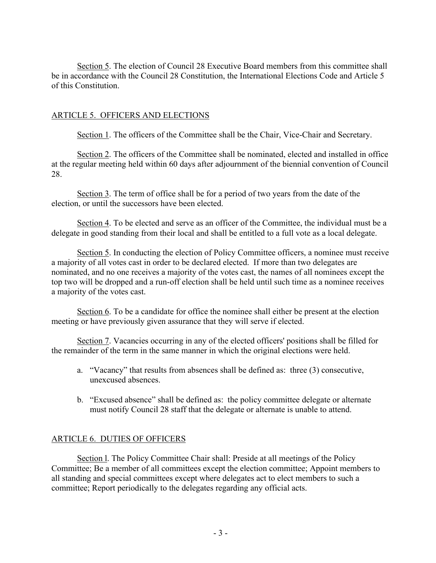Section 5. The election of Council 28 Executive Board members from this committee shall be in accordance with the Council 28 Constitution, the International Elections Code and Article 5 of this Constitution.

#### ARTICLE 5. OFFICERS AND ELECTIONS

Section 1. The officers of the Committee shall be the Chair, Vice-Chair and Secretary.

Section 2. The officers of the Committee shall be nominated, elected and installed in office at the regular meeting held within 60 days after adjournment of the biennial convention of Council 28.

Section 3. The term of office shall be for a period of two years from the date of the election, or until the successors have been elected.

Section 4. To be elected and serve as an officer of the Committee, the individual must be a delegate in good standing from their local and shall be entitled to a full vote as a local delegate.

Section 5. In conducting the election of Policy Committee officers, a nominee must receive a majority of all votes cast in order to be declared elected. If more than two delegates are nominated, and no one receives a majority of the votes cast, the names of all nominees except the top two will be dropped and a run-off election shall be held until such time as a nominee receives a majority of the votes cast.

Section 6. To be a candidate for office the nominee shall either be present at the election meeting or have previously given assurance that they will serve if elected.

Section 7. Vacancies occurring in any of the elected officers' positions shall be filled for the remainder of the term in the same manner in which the original elections were held.

- a. "Vacancy" that results from absences shall be defined as: three (3) consecutive, unexcused absences.
- b. "Excused absence" shall be defined as: the policy committee delegate or alternate must notify Council 28 staff that the delegate or alternate is unable to attend.

## ARTICLE 6. DUTIES OF OFFICERS

Section l. The Policy Committee Chair shall: Preside at all meetings of the Policy Committee; Be a member of all committees except the election committee; Appoint members to all standing and special committees except where delegates act to elect members to such a committee; Report periodically to the delegates regarding any official acts.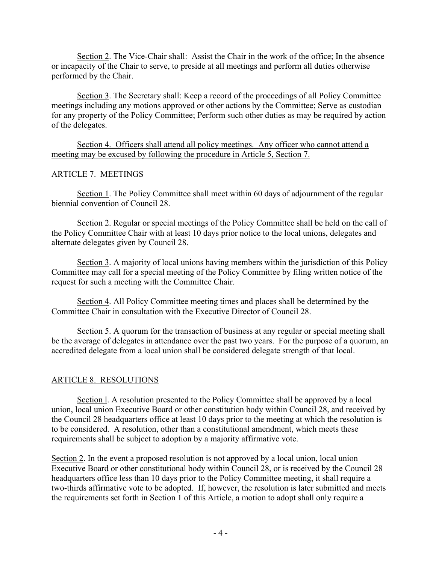Section 2. The Vice-Chair shall: Assist the Chair in the work of the office; In the absence or incapacity of the Chair to serve, to preside at all meetings and perform all duties otherwise performed by the Chair.

Section 3. The Secretary shall: Keep a record of the proceedings of all Policy Committee meetings including any motions approved or other actions by the Committee; Serve as custodian for any property of the Policy Committee; Perform such other duties as may be required by action of the delegates.

Section 4. Officers shall attend all policy meetings. Any officer who cannot attend a meeting may be excused by following the procedure in Article 5, Section 7.

#### ARTICLE 7. MEETINGS

Section 1. The Policy Committee shall meet within 60 days of adjournment of the regular biennial convention of Council 28.

Section 2. Regular or special meetings of the Policy Committee shall be held on the call of the Policy Committee Chair with at least 10 days prior notice to the local unions, delegates and alternate delegates given by Council 28.

Section 3. A majority of local unions having members within the jurisdiction of this Policy Committee may call for a special meeting of the Policy Committee by filing written notice of the request for such a meeting with the Committee Chair.

Section 4. All Policy Committee meeting times and places shall be determined by the Committee Chair in consultation with the Executive Director of Council 28.

Section 5. A quorum for the transaction of business at any regular or special meeting shall be the average of delegates in attendance over the past two years. For the purpose of a quorum, an accredited delegate from a local union shall be considered delegate strength of that local.

## ARTICLE 8. RESOLUTIONS

Section l. A resolution presented to the Policy Committee shall be approved by a local union, local union Executive Board or other constitution body within Council 28, and received by the Council 28 headquarters office at least 10 days prior to the meeting at which the resolution is to be considered. A resolution, other than a constitutional amendment, which meets these requirements shall be subject to adoption by a majority affirmative vote.

Section 2. In the event a proposed resolution is not approved by a local union, local union Executive Board or other constitutional body within Council 28, or is received by the Council 28 headquarters office less than 10 days prior to the Policy Committee meeting, it shall require a two-thirds affirmative vote to be adopted. If, however, the resolution is later submitted and meets the requirements set forth in Section 1 of this Article, a motion to adopt shall only require a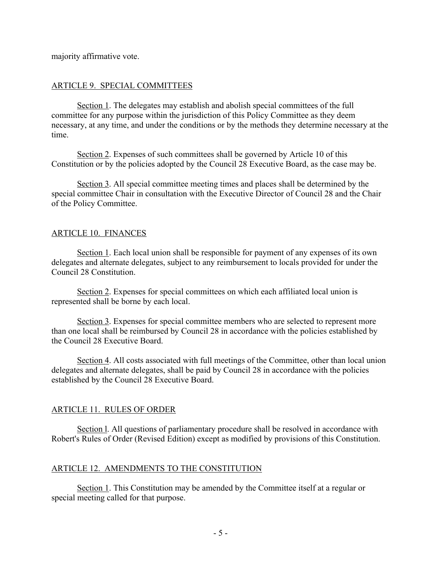majority affirmative vote.

## ARTICLE 9. SPECIAL COMMITTEES

Section 1. The delegates may establish and abolish special committees of the full committee for any purpose within the jurisdiction of this Policy Committee as they deem necessary, at any time, and under the conditions or by the methods they determine necessary at the time.

Section 2. Expenses of such committees shall be governed by Article 10 of this Constitution or by the policies adopted by the Council 28 Executive Board, as the case may be.

Section 3. All special committee meeting times and places shall be determined by the special committee Chair in consultation with the Executive Director of Council 28 and the Chair of the Policy Committee.

# ARTICLE 10. FINANCES

Section 1. Each local union shall be responsible for payment of any expenses of its own delegates and alternate delegates, subject to any reimbursement to locals provided for under the Council 28 Constitution.

Section 2. Expenses for special committees on which each affiliated local union is represented shall be borne by each local.

Section 3. Expenses for special committee members who are selected to represent more than one local shall be reimbursed by Council 28 in accordance with the policies established by the Council 28 Executive Board.

Section 4. All costs associated with full meetings of the Committee, other than local union delegates and alternate delegates, shall be paid by Council 28 in accordance with the policies established by the Council 28 Executive Board.

## ARTICLE 11. RULES OF ORDER

Section l. All questions of parliamentary procedure shall be resolved in accordance with Robert's Rules of Order (Revised Edition) except as modified by provisions of this Constitution.

## ARTICLE 12. AMENDMENTS TO THE CONSTITUTION

Section 1. This Constitution may be amended by the Committee itself at a regular or special meeting called for that purpose.